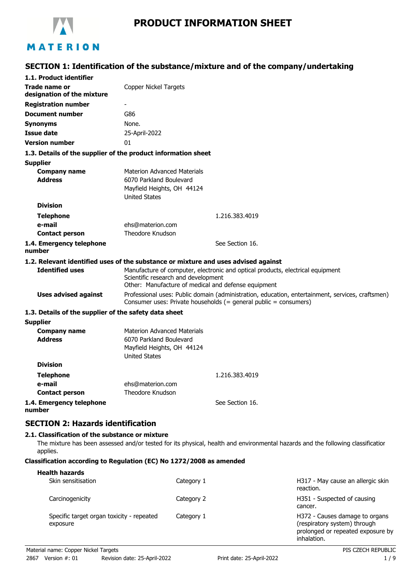

# **SECTION 1: Identification of the substance/mixture and of the company/undertaking**

| 1.1. Product identifier                               |                                                                                                                                                                              |  |
|-------------------------------------------------------|------------------------------------------------------------------------------------------------------------------------------------------------------------------------------|--|
| Trade name or<br>designation of the mixture           | <b>Copper Nickel Targets</b>                                                                                                                                                 |  |
| <b>Registration number</b>                            |                                                                                                                                                                              |  |
| <b>Document number</b>                                | G86                                                                                                                                                                          |  |
| <b>Synonyms</b>                                       | None.                                                                                                                                                                        |  |
| <b>Issue date</b>                                     | 25-April-2022                                                                                                                                                                |  |
| <b>Version number</b>                                 | 01                                                                                                                                                                           |  |
|                                                       | 1.3. Details of the supplier of the product information sheet                                                                                                                |  |
| <b>Supplier</b>                                       |                                                                                                                                                                              |  |
| <b>Company name</b>                                   | <b>Materion Advanced Materials</b>                                                                                                                                           |  |
| <b>Address</b>                                        | 6070 Parkland Boulevard                                                                                                                                                      |  |
|                                                       | Mayfield Heights, OH 44124                                                                                                                                                   |  |
| <b>Division</b>                                       | <b>United States</b>                                                                                                                                                         |  |
|                                                       |                                                                                                                                                                              |  |
| <b>Telephone</b><br>e-mail                            | 1.216.383.4019<br>ehs@materion.com                                                                                                                                           |  |
| <b>Contact person</b>                                 | Theodore Knudson                                                                                                                                                             |  |
| 1.4. Emergency telephone                              | See Section 16.                                                                                                                                                              |  |
| number                                                |                                                                                                                                                                              |  |
|                                                       | 1.2. Relevant identified uses of the substance or mixture and uses advised against                                                                                           |  |
| <b>Identified uses</b>                                | Manufacture of computer, electronic and optical products, electrical equipment<br>Scientific research and development<br>Other: Manufacture of medical and defense equipment |  |
| <b>Uses advised against</b>                           | Professional uses: Public domain (administration, education, entertainment, services, craftsmen)<br>Consumer uses: Private households (= general public = consumers)         |  |
| 1.3. Details of the supplier of the safety data sheet |                                                                                                                                                                              |  |
| <b>Supplier</b>                                       |                                                                                                                                                                              |  |
| <b>Company name</b>                                   | <b>Materion Advanced Materials</b>                                                                                                                                           |  |
| <b>Address</b>                                        | 6070 Parkland Boulevard<br>Mayfield Heights, OH 44124<br><b>United States</b>                                                                                                |  |
| <b>Division</b>                                       |                                                                                                                                                                              |  |
| Telephone                                             | 1.216.383.4019                                                                                                                                                               |  |
| e-mail                                                | ehs@materion.com                                                                                                                                                             |  |
| <b>Contact person</b>                                 | <b>Theodore Knudson</b>                                                                                                                                                      |  |
| 1.4. Emergency telephone<br>number                    | See Section 16.                                                                                                                                                              |  |
| <b>SECTION 2: Hazards identification</b>              |                                                                                                                                                                              |  |
| 2.1. Classification of the substance or mixture       |                                                                                                                                                                              |  |
|                                                       | The mixture has been accessed and/or tested for its physical health and environmental hazards and the following classification                                               |  |

The mixture has been assessed and/or tested for its physical, health and environmental hazards and the following classification applies.

#### **Classification according to Regulation (EC) No 1272/2008 as amended**

| <b>Health hazards</b>                                 |            |                                                                                                                    |
|-------------------------------------------------------|------------|--------------------------------------------------------------------------------------------------------------------|
| Skin sensitisation                                    | Category 1 | H317 - May cause an allergic skin<br>reaction.                                                                     |
| Carcinogenicity                                       | Category 2 | H351 - Suspected of causing<br>cancer.                                                                             |
| Specific target organ toxicity - repeated<br>exposure | Category 1 | H372 - Causes damage to organs<br>(respiratory system) through<br>prolonged or repeated exposure by<br>inhalation. |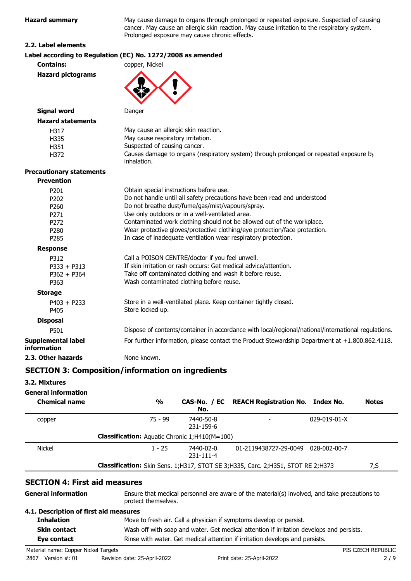**Hagard summary cause of causing** o the respiratory system.

| <b>Hazard summary</b>                          | May cause damage to organs through prolonged or repeated exposure. Su<br>cancer. May cause an allergic skin reaction. May cause irritation to the res<br>Prolonged exposure may cause chronic effects.                      |
|------------------------------------------------|-----------------------------------------------------------------------------------------------------------------------------------------------------------------------------------------------------------------------------|
| 2.2. Label elements                            |                                                                                                                                                                                                                             |
|                                                | Label according to Regulation (EC) No. 1272/2008 as amended                                                                                                                                                                 |
| <b>Contains:</b>                               | copper, Nickel                                                                                                                                                                                                              |
| <b>Hazard pictograms</b>                       |                                                                                                                                                                                                                             |
| <b>Signal word</b>                             | Danger                                                                                                                                                                                                                      |
| <b>Hazard statements</b>                       |                                                                                                                                                                                                                             |
| H317<br>H335<br>H351<br>H372                   | May cause an allergic skin reaction.<br>May cause respiratory irritation.<br>Suspected of causing cancer.<br>Causes damage to organs (respiratory system) through prolonged or repea<br>inhalation.                         |
| <b>Precautionary statements</b>                |                                                                                                                                                                                                                             |
| <b>Prevention</b>                              |                                                                                                                                                                                                                             |
| P201                                           | Obtain special instructions before use.                                                                                                                                                                                     |
| P202                                           | Do not handle until all safety precautions have been read and understood.                                                                                                                                                   |
| P260                                           | Do not breathe dust/fume/gas/mist/vapours/spray.                                                                                                                                                                            |
| P <sub>271</sub>                               | Use only outdoors or in a well-ventilated area.                                                                                                                                                                             |
| P272                                           | Contaminated work clothing should not be allowed out of the workplace.                                                                                                                                                      |
| P280                                           | Wear protective gloves/protective clothing/eye protection/face protection.                                                                                                                                                  |
| P285                                           | In case of inadequate ventilation wear respiratory protection.                                                                                                                                                              |
| <b>Response</b>                                |                                                                                                                                                                                                                             |
| P312<br>$P333 + P313$<br>$P362 + P364$<br>P363 | Call a POISON CENTRE/doctor if you feel unwell.<br>If skin irritation or rash occurs: Get medical advice/attention.<br>Take off contaminated clothing and wash it before reuse.<br>Wash contaminated clothing before reuse. |
| <b>Storage</b>                                 |                                                                                                                                                                                                                             |
| $P403 + P233$<br>P405                          | Store in a well-ventilated place. Keep container tightly closed.<br>Store locked up.                                                                                                                                        |

| <b>Disposal</b>                          |                                                                                                     |
|------------------------------------------|-----------------------------------------------------------------------------------------------------|
| P501                                     | Dispose of contents/container in accordance with local/regional/national/international regulations. |
| Supplemental label<br><b>information</b> | For further information, please contact the Product Stewardship Department at +1.800.862.4118.      |
| 2.3. Other hazards                       | None known.                                                                                         |

### **SECTION 3: Composition/information on ingredients**

#### **3.2. Mixtures**

### **General information**

| <b>Chemical name</b> | $\frac{1}{2}$                                        | No.                    | CAS-No. / EC REACH Registration No. Index No.                                   |                      | <b>Notes</b> |
|----------------------|------------------------------------------------------|------------------------|---------------------------------------------------------------------------------|----------------------|--------------|
| copper               | 75 - 99                                              | 7440-50-8<br>231-159-6 |                                                                                 | $029 - 019 - 01 - X$ |              |
|                      | <b>Classification:</b> Aquatic Chronic 1;H410(M=100) |                        |                                                                                 |                      |              |
| <b>Nickel</b>        | $1 - 25$                                             | 7440-02-0<br>231-111-4 | 01-2119438727-29-0049                                                           | 028-002-00-7         |              |
|                      |                                                      |                        | Classification: Skin Sens. 1;H317, STOT SE 3;H335, Carc. 2;H351, STOT RE 2;H373 |                      | 7,S          |

### **SECTION 4: First aid measures**

| <b>General information</b>             | Ensure that medical personnel are aware of the material(s) involved, and take precautions to<br>protect themselves. |  |
|----------------------------------------|---------------------------------------------------------------------------------------------------------------------|--|
| 4.1. Description of first aid measures |                                                                                                                     |  |
| <b>Inhalation</b>                      | Move to fresh air. Call a physician if symptoms develop or persist.                                                 |  |
| <b>Skin contact</b>                    | Wash off with soap and water. Get medical attention if irritation develops and persists.                            |  |
| Eye contact                            | Rinse with water. Get medical attention if irritation develops and persists.                                        |  |

or repeated exposure by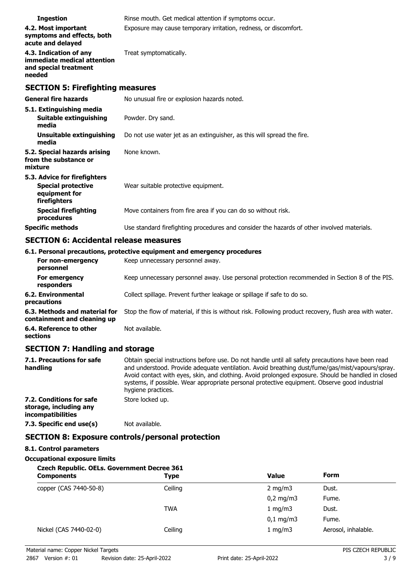| <b>Ingestion</b>                                                                         | Rinse mouth. Get medical attention if symptoms occur.                                      |  |  |
|------------------------------------------------------------------------------------------|--------------------------------------------------------------------------------------------|--|--|
| 4.2. Most important<br>symptoms and effects, both<br>acute and delayed                   | Exposure may cause temporary irritation, redness, or discomfort.                           |  |  |
| 4.3. Indication of any<br>immediate medical attention<br>and special treatment<br>needed | Treat symptomatically.                                                                     |  |  |
| <b>SECTION 5: Firefighting measures</b>                                                  |                                                                                            |  |  |
| <b>General fire hazards</b>                                                              | No unusual fire or explosion hazards noted.                                                |  |  |
| 5.1. Extinguishing media                                                                 |                                                                                            |  |  |
| <b>Suitable extinguishing</b><br>media                                                   | Powder. Dry sand.                                                                          |  |  |
| Unsuitable extinguishing<br>media                                                        | Do not use water jet as an extinguisher, as this will spread the fire.                     |  |  |
| 5.2. Special hazards arising<br>from the substance or<br>mixture                         | None known.                                                                                |  |  |
| 5.3. Advice for firefighters                                                             |                                                                                            |  |  |
| <b>Special protective</b><br>equipment for<br>firefighters                               | Wear suitable protective equipment.                                                        |  |  |
| <b>Special firefighting</b><br>procedures                                                | Move containers from fire area if you can do so without risk.                              |  |  |
| <b>Specific methods</b>                                                                  | Use standard firefighting procedures and consider the hazards of other involved materials. |  |  |

## **SECTION 6: Accidental release measures**

|                                                              | 6.1. Personal precautions, protective equipment and emergency procedures                               |
|--------------------------------------------------------------|--------------------------------------------------------------------------------------------------------|
| For non-emergency<br>personnel                               | Keep unnecessary personnel away.                                                                       |
| For emergency<br>responders                                  | Keep unnecessary personnel away. Use personal protection recommended in Section 8 of the PIS.          |
| 6.2. Environmental<br>precautions                            | Collect spillage. Prevent further leakage or spillage if safe to do so.                                |
| 6.3. Methods and material for<br>containment and cleaning up | Stop the flow of material, if this is without risk. Following product recovery, flush area with water. |
| 6.4. Reference to other<br>sections                          | Not available.                                                                                         |

## **SECTION 7: Handling and storage**

| 7.1. Precautions for safe<br>handling                                   | Obtain special instructions before use. Do not handle until all safety precautions have been read<br>and understood. Provide adequate ventilation. Avoid breathing dust/fume/gas/mist/vapours/spray.<br>Avoid contact with eyes, skin, and clothing. Avoid prolonged exposure. Should be handled in closed<br>systems, if possible. Wear appropriate personal protective equipment. Observe good industrial<br>hygiene practices. |  |
|-------------------------------------------------------------------------|-----------------------------------------------------------------------------------------------------------------------------------------------------------------------------------------------------------------------------------------------------------------------------------------------------------------------------------------------------------------------------------------------------------------------------------|--|
| 7.2. Conditions for safe<br>storage, including any<br>incompatibilities | Store locked up.                                                                                                                                                                                                                                                                                                                                                                                                                  |  |
| 7.3. Specific end use(s)                                                | Not available.                                                                                                                                                                                                                                                                                                                                                                                                                    |  |
| <b>SECTION 8: Exposure controls/personal protection</b>                 |                                                                                                                                                                                                                                                                                                                                                                                                                                   |  |

# **8.1. Control parameters**

# **Occupational exposure limits**

| <b>Czech Republic. OELs. Government Decree 361</b> |            |                      |                     |  |
|----------------------------------------------------|------------|----------------------|---------------------|--|
| <b>Components</b>                                  | Type       | <b>Value</b>         | <b>Form</b>         |  |
| copper (CAS 7440-50-8)                             | Ceiling    | $2 \text{ mg/m}$     | Dust.               |  |
|                                                    |            | $0,2$ mg/m3          | Fume.               |  |
|                                                    | <b>TWA</b> | 1 mg/m $3$           | Dust.               |  |
|                                                    |            | $0,1 \, \text{mg/m}$ | Fume.               |  |
| Nickel (CAS 7440-02-0)                             | Ceiling    | 1 mg/m $3$           | Aerosol, inhalable. |  |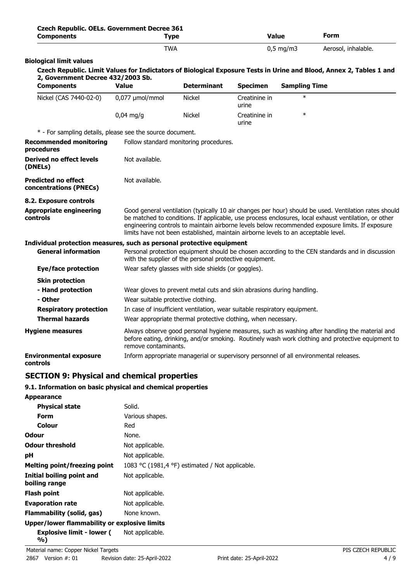| Czech Republic. OELs. Government Decree 361<br><b>Components</b>      | <b>Type</b>                                                                                                                                                                                                                                                                                                                                                                                            |                                                                           | <b>Value</b>           |                      | Form                                                                                                                |  |
|-----------------------------------------------------------------------|--------------------------------------------------------------------------------------------------------------------------------------------------------------------------------------------------------------------------------------------------------------------------------------------------------------------------------------------------------------------------------------------------------|---------------------------------------------------------------------------|------------------------|----------------------|---------------------------------------------------------------------------------------------------------------------|--|
|                                                                       | <b>TWA</b>                                                                                                                                                                                                                                                                                                                                                                                             |                                                                           |                        | $0,5$ mg/m3          | Aerosol, inhalable.                                                                                                 |  |
| <b>Biological limit values</b>                                        |                                                                                                                                                                                                                                                                                                                                                                                                        |                                                                           |                        |                      |                                                                                                                     |  |
| 2, Government Decree 432/2003 Sb.                                     |                                                                                                                                                                                                                                                                                                                                                                                                        |                                                                           |                        |                      | Czech Republic. Limit Values for Indictators of Biological Exposure Tests in Urine and Blood, Annex 2, Tables 1 and |  |
| <b>Components</b>                                                     | <b>Value</b>                                                                                                                                                                                                                                                                                                                                                                                           | <b>Determinant</b>                                                        | <b>Specimen</b>        | <b>Sampling Time</b> |                                                                                                                     |  |
| Nickel (CAS 7440-02-0)                                                | 0,077 µmol/mmol                                                                                                                                                                                                                                                                                                                                                                                        | Nickel                                                                    | Creatinine in<br>urine | $\ast$               |                                                                                                                     |  |
|                                                                       | $0.04$ mg/g                                                                                                                                                                                                                                                                                                                                                                                            | <b>Nickel</b>                                                             | Creatinine in<br>urine | $\ast$               |                                                                                                                     |  |
| * - For sampling details, please see the source document.             |                                                                                                                                                                                                                                                                                                                                                                                                        |                                                                           |                        |                      |                                                                                                                     |  |
| <b>Recommended monitoring</b><br>procedures                           |                                                                                                                                                                                                                                                                                                                                                                                                        | Follow standard monitoring procedures.                                    |                        |                      |                                                                                                                     |  |
| <b>Derived no effect levels</b><br>(DNELs)                            | Not available.                                                                                                                                                                                                                                                                                                                                                                                         |                                                                           |                        |                      |                                                                                                                     |  |
| <b>Predicted no effect</b><br>concentrations (PNECs)                  | Not available.                                                                                                                                                                                                                                                                                                                                                                                         |                                                                           |                        |                      |                                                                                                                     |  |
| 8.2. Exposure controls                                                |                                                                                                                                                                                                                                                                                                                                                                                                        |                                                                           |                        |                      |                                                                                                                     |  |
| <b>Appropriate engineering</b><br>controls                            | Good general ventilation (typically 10 air changes per hour) should be used. Ventilation rates should<br>be matched to conditions. If applicable, use process enclosures, local exhaust ventilation, or other<br>engineering controls to maintain airborne levels below recommended exposure limits. If exposure<br>limits have not been established, maintain airborne levels to an acceptable level. |                                                                           |                        |                      |                                                                                                                     |  |
| Individual protection measures, such as personal protective equipment |                                                                                                                                                                                                                                                                                                                                                                                                        |                                                                           |                        |                      |                                                                                                                     |  |
| <b>General information</b>                                            | Personal protection equipment should be chosen according to the CEN standards and in discussion<br>with the supplier of the personal protective equipment.                                                                                                                                                                                                                                             |                                                                           |                        |                      |                                                                                                                     |  |
| Eye/face protection                                                   |                                                                                                                                                                                                                                                                                                                                                                                                        | Wear safety glasses with side shields (or goggles).                       |                        |                      |                                                                                                                     |  |
| <b>Skin protection</b>                                                |                                                                                                                                                                                                                                                                                                                                                                                                        |                                                                           |                        |                      |                                                                                                                     |  |
| - Hand protection                                                     |                                                                                                                                                                                                                                                                                                                                                                                                        | Wear gloves to prevent metal cuts and skin abrasions during handling.     |                        |                      |                                                                                                                     |  |
| - Other                                                               |                                                                                                                                                                                                                                                                                                                                                                                                        | Wear suitable protective clothing.                                        |                        |                      |                                                                                                                     |  |
| <b>Respiratory protection</b>                                         |                                                                                                                                                                                                                                                                                                                                                                                                        | In case of insufficient ventilation, wear suitable respiratory equipment. |                        |                      |                                                                                                                     |  |
| <b>Thermal hazards</b>                                                |                                                                                                                                                                                                                                                                                                                                                                                                        | Wear appropriate thermal protective clothing, when necessary.             |                        |                      |                                                                                                                     |  |
| <b>Hygiene measures</b>                                               | Always observe good personal hygiene measures, such as washing after handling the material and<br>before eating, drinking, and/or smoking. Routinely wash work clothing and protective equipment to<br>remove contaminants.                                                                                                                                                                            |                                                                           |                        |                      |                                                                                                                     |  |
| <b>Environmental exposure</b><br>controls                             | Inform appropriate managerial or supervisory personnel of all environmental releases.                                                                                                                                                                                                                                                                                                                  |                                                                           |                        |                      |                                                                                                                     |  |
| <b>SECTION 9: Physical and chemical properties</b>                    |                                                                                                                                                                                                                                                                                                                                                                                                        |                                                                           |                        |                      |                                                                                                                     |  |
| 9.1. Information on basic physical and chemical properties            |                                                                                                                                                                                                                                                                                                                                                                                                        |                                                                           |                        |                      |                                                                                                                     |  |

| <b>Appearance</b>                            |                                                 |  |
|----------------------------------------------|-------------------------------------------------|--|
| <b>Physical state</b>                        | Solid.                                          |  |
| Form                                         | Various shapes.                                 |  |
| Colour                                       | Red                                             |  |
| <b>Odour</b>                                 | None.                                           |  |
| <b>Odour threshold</b>                       | Not applicable.                                 |  |
| рH                                           | Not applicable.                                 |  |
| <b>Melting point/freezing point</b>          | 1083 °C (1981,4 °F) estimated / Not applicable. |  |
| Initial boiling point and<br>boiling range   | Not applicable.                                 |  |
| <b>Flash point</b>                           | Not applicable.                                 |  |
| <b>Evaporation rate</b>                      | Not applicable.                                 |  |
| Flammability (solid, gas)                    | None known.                                     |  |
| Upper/lower flammability or explosive limits |                                                 |  |
| <b>Explosive limit - lower (</b><br>%)       | Not applicable.                                 |  |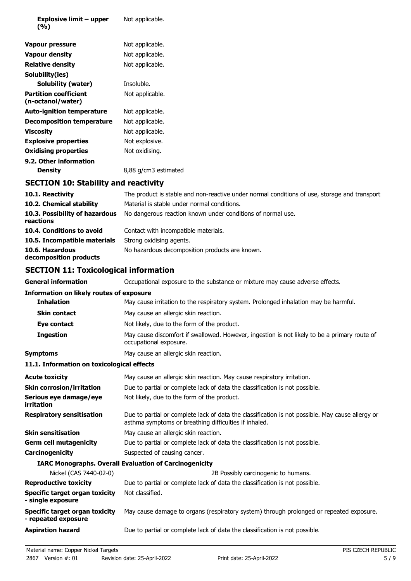| <b>Explosive limit - upper</b><br>(%)             | Not applicable.                                                                                                                                           |
|---------------------------------------------------|-----------------------------------------------------------------------------------------------------------------------------------------------------------|
| <b>Vapour pressure</b>                            | Not applicable.                                                                                                                                           |
| <b>Vapour density</b>                             | Not applicable.                                                                                                                                           |
| <b>Relative density</b>                           | Not applicable.                                                                                                                                           |
| Solubility(ies)                                   |                                                                                                                                                           |
| Solubility (water)                                | Insoluble.                                                                                                                                                |
| <b>Partition coefficient</b><br>(n-octanol/water) | Not applicable.                                                                                                                                           |
| <b>Auto-ignition temperature</b>                  | Not applicable.                                                                                                                                           |
| <b>Decomposition temperature</b>                  | Not applicable.                                                                                                                                           |
| <b>Viscosity</b>                                  | Not applicable.                                                                                                                                           |
| <b>Explosive properties</b>                       | Not explosive.                                                                                                                                            |
| <b>Oxidising properties</b>                       | Not oxidising.                                                                                                                                            |
| 9.2. Other information                            |                                                                                                                                                           |
| <b>Density</b>                                    | 8,88 g/cm3 estimated                                                                                                                                      |
| <b>SECTION 10: Stability and reactivity</b>       |                                                                                                                                                           |
| 10.1. Reactivity                                  | The product is stable and non-reactive under normal conditions of use, storage and transport.                                                             |
| 10.2. Chemical stability                          | Material is stable under normal conditions.                                                                                                               |
| 10.3. Possibility of hazardous<br>reactions       | No dangerous reaction known under conditions of normal use.                                                                                               |
| 10.4. Conditions to avoid                         | Contact with incompatible materials.                                                                                                                      |
| 10.5. Incompatible materials                      | Strong oxidising agents.                                                                                                                                  |
| 10.6. Hazardous<br>decomposition products         | No hazardous decomposition products are known.                                                                                                            |
| <b>SECTION 11: Toxicological information</b>      |                                                                                                                                                           |
| <b>General information</b>                        | Occupational exposure to the substance or mixture may cause adverse effects.                                                                              |
| <b>Information on likely routes of exposure</b>   |                                                                                                                                                           |
| <b>Inhalation</b>                                 | May cause irritation to the respiratory system. Prolonged inhalation may be harmful.                                                                      |
| Skin contact                                      | May cause an allergic skin reaction.                                                                                                                      |
| Eye contact                                       | Not likely, due to the form of the product.                                                                                                               |
| <b>Ingestion</b>                                  | May cause discomfort if swallowed. However, ingestion is not likely to be a primary route of<br>occupational exposure.                                    |
| <b>Symptoms</b>                                   | May cause an allergic skin reaction.                                                                                                                      |
| 11.1. Information on toxicological effects        |                                                                                                                                                           |
| <b>Acute toxicity</b>                             | May cause an allergic skin reaction. May cause respiratory irritation.                                                                                    |
| <b>Skin corrosion/irritation</b>                  | Due to partial or complete lack of data the classification is not possible.                                                                               |
| Serious eye damage/eye<br>irritation              | Not likely, due to the form of the product.                                                                                                               |
| <b>Respiratory sensitisation</b>                  | Due to partial or complete lack of data the classification is not possible. May cause allergy or<br>asthma symptoms or breathing difficulties if inhaled. |
| <b>Skin sensitisation</b>                         | May cause an allergic skin reaction.                                                                                                                      |
| <b>Germ cell mutagenicity</b>                     | Due to partial or complete lack of data the classification is not possible.                                                                               |

**Carcinogenicity** Suspected of causing cancer.

## **IARC Monographs. Overall Evaluation of Carcinogenicity**

| Nickel (CAS 7440-02-0)                                | 2B Possibly carcinogenic to humans.                                                     |
|-------------------------------------------------------|-----------------------------------------------------------------------------------------|
| <b>Reproductive toxicity</b>                          | Due to partial or complete lack of data the classification is not possible.             |
| Specific target organ toxicity<br>- single exposure   | Not classified.                                                                         |
| Specific target organ toxicity<br>- repeated exposure | May cause damage to organs (respiratory system) through prolonged or repeated exposure. |
| <b>Aspiration hazard</b>                              | Due to partial or complete lack of data the classification is not possible.             |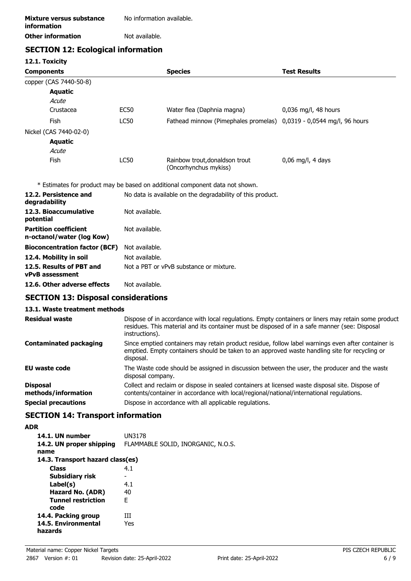| No information available. |
|---------------------------|
| Not available.            |
|                           |

## **SECTION 12: Ecological information**

**12.1. Toxicity**

|             | <b>Species</b>                                                      | <b>Test Results</b>    |
|-------------|---------------------------------------------------------------------|------------------------|
|             |                                                                     |                        |
|             |                                                                     |                        |
|             |                                                                     |                        |
| <b>EC50</b> | Water flea (Daphnia magna)                                          | $0,036$ mg/l, 48 hours |
| <b>LC50</b> | Fathead minnow (Pimephales promelas) 0,0319 - 0,0544 mg/l, 96 hours |                        |
|             |                                                                     |                        |
|             |                                                                     |                        |
|             |                                                                     |                        |
| <b>LC50</b> | Rainbow trout, donaldson trout<br>(Oncorhynchus mykiss)             | $0.06$ mg/l, 4 days    |
|             |                                                                     |                        |

\* Estimates for product may be based on additional component data not shown.

| 12.2. Persistence and<br>degradability                    | No data is available on the degradability of this product. |
|-----------------------------------------------------------|------------------------------------------------------------|
| 12.3. Bioaccumulative<br>potential                        | Not available.                                             |
| <b>Partition coefficient</b><br>n-octanol/water (log Kow) | Not available.                                             |
| <b>Bioconcentration factor (BCF)</b>                      | Not available.                                             |
| 12.4. Mobility in soil                                    | Not available.                                             |
| 12.5. Results of PBT and<br><b>vPvB</b> assessment        | Not a PBT or vPvB substance or mixture.                    |
| 12.6. Other adverse effects                               | Not available.                                             |

### **SECTION 13: Disposal considerations**

### **13.1. Waste treatment methods**

| <b>Residual waste</b>                  | Dispose of in accordance with local regulations. Empty containers or liners may retain some product<br>residues. This material and its container must be disposed of in a safe manner (see: Disposal<br>instructions). |
|----------------------------------------|------------------------------------------------------------------------------------------------------------------------------------------------------------------------------------------------------------------------|
| <b>Contaminated packaging</b>          | Since emptied containers may retain product residue, follow label warnings even after container is<br>emptied. Empty containers should be taken to an approved waste handling site for recycling or<br>disposal.       |
| <b>EU waste code</b>                   | The Waste code should be assigned in discussion between the user, the producer and the waste<br>disposal company.                                                                                                      |
| <b>Disposal</b><br>methods/information | Collect and reclaim or dispose in sealed containers at licensed waste disposal site. Dispose of<br>contents/container in accordance with local/regional/national/international regulations.                            |
| <b>Special precautions</b>             | Dispose in accordance with all applicable regulations.                                                                                                                                                                 |

# **SECTION 14: Transport information**

### **ADR**

| 14.1. UN number                  | UN3178                             |
|----------------------------------|------------------------------------|
| 14.2. UN proper shipping<br>name | FLAMMABLE SOLID, INORGANIC, N.O.S. |
|                                  |                                    |
| 14.3. Transport hazard class(es) |                                    |
| <b>Class</b>                     | 4.1                                |
| Subsidiary risk                  |                                    |
| Label(s)                         | 4.1                                |
| Hazard No. (ADR)                 | 40                                 |
| <b>Tunnel restriction</b>        | E                                  |
| code                             |                                    |
| 14.4. Packing group              | ĦТ                                 |
| 14.5. Environmental              | Yes                                |
| hazards                          |                                    |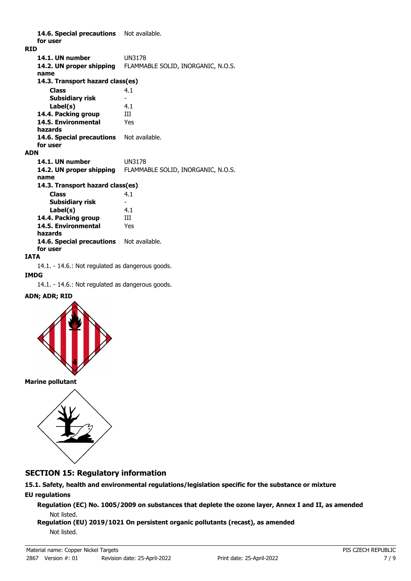14.6. Special precautions Not available. **for user RID 14.1. UN number** UN3178 **14.2. UN proper shipping** FLAMMABLE SOLID, INORGANIC, N.O.S. **name Class** 4.1 **14.3. Transport hazard class(es) Subsidiary risk** - **Label(s)** 4.1 **14.4. Packing group III 14.5. Environmental** Yes **hazards** 14.6. Special precautions Not available. **for user ADN 14.1. UN number** UN3178 **14.2. UN proper shipping** FLAMMABLE SOLID, INORGANIC, N.O.S. **name Class** 4.1 **14.3. Transport hazard class(es) Subsidiary risk Label(s)** 4.1 **14.4. Packing group** III **14.5. Environmental** Yes **hazards** 14.6. Special precautions Not available. **for user**

#### **IATA**

14.1. - 14.6.: Not regulated as dangerous goods.

#### **IMDG**

14.1. - 14.6.: Not regulated as dangerous goods.

#### **ADN; ADR; RID**



**Marine pollutant**



### **SECTION 15: Regulatory information**

**15.1. Safety, health and environmental regulations/legislation specific for the substance or mixture EU regulations**

**Regulation (EC) No. 1005/2009 on substances that deplete the ozone layer, Annex I and II, as amended** Not listed.

#### **Regulation (EU) 2019/1021 On persistent organic pollutants (recast), as amended** Not listed.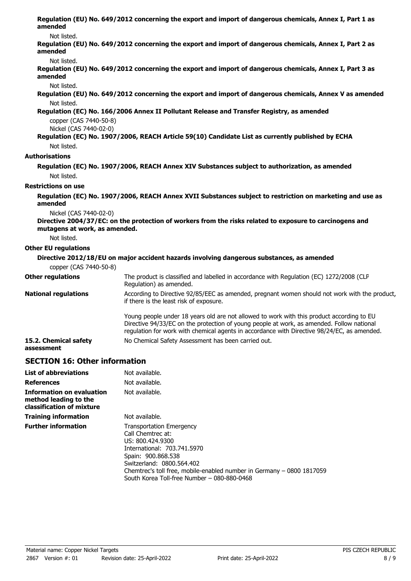| amended                              | Regulation (EU) No. 649/2012 concerning the export and import of dangerous chemicals, Annex I, Part 1 as                                                                                                                                                                              |
|--------------------------------------|---------------------------------------------------------------------------------------------------------------------------------------------------------------------------------------------------------------------------------------------------------------------------------------|
| Not listed.                          |                                                                                                                                                                                                                                                                                       |
| amended                              | Regulation (EU) No. 649/2012 concerning the export and import of dangerous chemicals, Annex I, Part 2 as                                                                                                                                                                              |
| Not listed.                          |                                                                                                                                                                                                                                                                                       |
| amended                              | Regulation (EU) No. 649/2012 concerning the export and import of dangerous chemicals, Annex I, Part 3 as                                                                                                                                                                              |
| Not listed.                          |                                                                                                                                                                                                                                                                                       |
|                                      | Regulation (EU) No. 649/2012 concerning the export and import of dangerous chemicals, Annex V as amended                                                                                                                                                                              |
| Not listed.                          |                                                                                                                                                                                                                                                                                       |
|                                      | Regulation (EC) No. 166/2006 Annex II Pollutant Release and Transfer Registry, as amended                                                                                                                                                                                             |
| copper (CAS 7440-50-8)               |                                                                                                                                                                                                                                                                                       |
| Nickel (CAS 7440-02-0)               | Regulation (EC) No. 1907/2006, REACH Article 59(10) Candidate List as currently published by ECHA                                                                                                                                                                                     |
| Not listed.                          |                                                                                                                                                                                                                                                                                       |
| <b>Authorisations</b>                |                                                                                                                                                                                                                                                                                       |
|                                      | Regulation (EC) No. 1907/2006, REACH Annex XIV Substances subject to authorization, as amended                                                                                                                                                                                        |
| Not listed.                          |                                                                                                                                                                                                                                                                                       |
| <b>Restrictions on use</b>           |                                                                                                                                                                                                                                                                                       |
|                                      |                                                                                                                                                                                                                                                                                       |
| amended                              | Regulation (EC) No. 1907/2006, REACH Annex XVII Substances subject to restriction on marketing and use as                                                                                                                                                                             |
| Nickel (CAS 7440-02-0)               |                                                                                                                                                                                                                                                                                       |
| mutagens at work, as amended.        | Directive 2004/37/EC: on the protection of workers from the risks related to exposure to carcinogens and                                                                                                                                                                              |
| Not listed.                          |                                                                                                                                                                                                                                                                                       |
| <b>Other EU regulations</b>          |                                                                                                                                                                                                                                                                                       |
|                                      | Directive 2012/18/EU on major accident hazards involving dangerous substances, as amended                                                                                                                                                                                             |
| copper (CAS 7440-50-8)               |                                                                                                                                                                                                                                                                                       |
| <b>Other regulations</b>             | The product is classified and labelled in accordance with Regulation (EC) 1272/2008 (CLP<br>Regulation) as amended.                                                                                                                                                                   |
| <b>National regulations</b>          | According to Directive 92/85/EEC as amended, pregnant women should not work with the product,<br>if there is the least risk of exposure.                                                                                                                                              |
|                                      | Young people under 18 years old are not allowed to work with this product according to EU<br>Directive 94/33/EC on the protection of young people at work, as amended. Follow national<br>regulation for work with chemical agents in accordance with Directive 98/24/EC, as amended. |
| 15.2. Chemical safety<br>assessment  | No Chemical Safety Assessment has been carried out.                                                                                                                                                                                                                                   |
| <b>SECTION 16: Other information</b> |                                                                                                                                                                                                                                                                                       |

| <b>List of abbreviations</b>                                                           | Not available.                                                                                                                                                                                                                                                                     |
|----------------------------------------------------------------------------------------|------------------------------------------------------------------------------------------------------------------------------------------------------------------------------------------------------------------------------------------------------------------------------------|
| <b>References</b>                                                                      | Not available.                                                                                                                                                                                                                                                                     |
| <b>Information on evaluation</b><br>method leading to the<br>classification of mixture | Not available.                                                                                                                                                                                                                                                                     |
| <b>Training information</b>                                                            | Not available.                                                                                                                                                                                                                                                                     |
| <b>Further information</b>                                                             | <b>Transportation Emergency</b><br>Call Chemtrec at:<br>US: 800.424.9300<br>International: 703.741.5970<br>Spain: 900.868.538<br>Switzerland: 0800.564.402<br>Chemtrec's toll free, mobile-enabled number in Germany - 0800 1817059<br>South Korea Toll-free Number - 080-880-0468 |